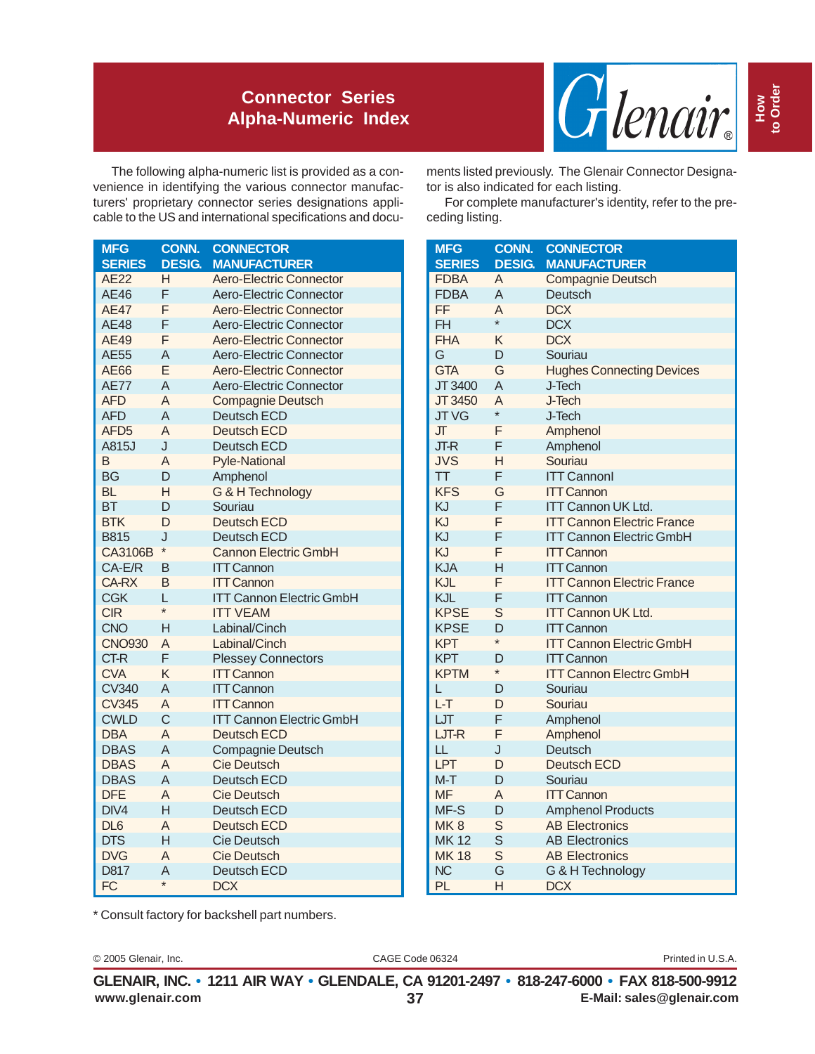## **Connector Series Alpha-Numeric Index**



The following alpha-numeric list is provided as a convenience in identifying the various connector manufacturers' proprietary connector series designations applicable to the US and international specifications and docu-

| <b>MFG</b>       | <b>CONN.</b>   | <b>CONNECTOR</b>                |
|------------------|----------------|---------------------------------|
| <b>SERIES</b>    | <b>DESIG.</b>  | <b>MANUFACTURER</b>             |
| <b>AE22</b>      | н              | <b>Aero-Electric Connector</b>  |
| <b>AE46</b>      | F              | <b>Aero-Electric Connector</b>  |
| <b>AE47</b>      | F              | Aero-Electric Connector         |
| <b>AE48</b>      | F              | <b>Aero-Electric Connector</b>  |
| <b>AE49</b>      | F              | Aero-Electric Connector         |
| <b>AE55</b>      | A              | <b>Aero-Electric Connector</b>  |
| AE66             | E              | <b>Aero-Electric Connector</b>  |
| <b>AE77</b>      | $\overline{A}$ | <b>Aero-Electric Connector</b>  |
| <b>AFD</b>       | $\overline{A}$ | <b>Compagnie Deutsch</b>        |
| <b>AFD</b>       | $\overline{A}$ | <b>Deutsch ECD</b>              |
| AFD <sub>5</sub> | $\overline{A}$ | <b>Deutsch ECD</b>              |
| A815J            | J              | Deutsch ECD                     |
| B                | A              | <b>Pyle-National</b>            |
| <b>BG</b>        | D              | Amphenol                        |
| <b>BL</b>        | H              | G & H Technology                |
| <b>BT</b>        | D              | Souriau                         |
| <b>BTK</b>       | D              | <b>Deutsch ECD</b>              |
| <b>B815</b>      | J              | <b>Deutsch ECD</b>              |
| CA3106B          | $\star$        | <b>Cannon Electric GmbH</b>     |
| $CA-E/R$         | B              | <b>ITT Cannon</b>               |
| <b>CA-RX</b>     | B              | <b>ITT Cannon</b>               |
| <b>CGK</b>       | L              | <b>ITT Cannon Electric GmbH</b> |
| <b>CIR</b>       | $\star$        | <b>ITT VEAM</b>                 |
| <b>CNO</b>       | н              | Labinal/Cinch                   |
| <b>CNO930</b>    | A              | Labinal/Cinch                   |
| CT-R             | F              | <b>Plessey Connectors</b>       |
| <b>CVA</b>       | K              | <b>ITT Cannon</b>               |
| <b>CV340</b>     | A              | <b>ITT Cannon</b>               |
| <b>CV345</b>     | A              | <b>ITT Cannon</b>               |
| <b>CWLD</b>      | $\mathsf{C}$   | <b>ITT Cannon Electric GmbH</b> |
| <b>DBA</b>       | $\overline{A}$ | <b>Deutsch ECD</b>              |
| <b>DBAS</b>      | $\overline{A}$ | Compagnie Deutsch               |
| <b>DBAS</b>      | A              | <b>Cie Deutsch</b>              |
| <b>DBAS</b>      | A              | <b>Deutsch ECD</b>              |
| <b>DFE</b>       | A              | <b>Cie Deutsch</b>              |
| DIV4             | H              | <b>Deutsch ECD</b>              |
| DL <sub>6</sub>  | A              | Deutsch ECD                     |
| <b>DTS</b>       | Η              | <b>Cie Deutsch</b>              |
| <b>DVG</b>       | A              | <b>Cie Deutsch</b>              |
| D817             | A              | <b>Deutsch ECD</b>              |
| FC               | $\star$        | <b>DCX</b>                      |

ments listed previously. The Glenair Connector Designator is also indicated for each listing.

For complete manufacturer's identity, refer to the preceding listing.

| <b>MFG</b>    | CONN.          | <b>CONNECTOR</b>                  |
|---------------|----------------|-----------------------------------|
| <b>SERIES</b> | <b>DESIG.</b>  | <b>MANUFACTURER</b>               |
| <b>FDBA</b>   | A              | <b>Compagnie Deutsch</b>          |
| <b>FDBA</b>   | A              | Deutsch                           |
| FF            | A              | <b>DCX</b>                        |
| <b>FH</b>     | $\star$        | <b>DCX</b>                        |
| <b>FHA</b>    | K              | <b>DCX</b>                        |
| G             | D              | Souriau                           |
| <b>GTA</b>    | G              | <b>Hughes Connecting Devices</b>  |
| JT 3400       | A              | J-Tech                            |
| JT 3450       | $\overline{A}$ | J-Tech                            |
| <b>JTVG</b>   | $\star$        | J-Tech                            |
| JГ            | F              | Amphenol                          |
| JT-R          | F              | Amphenol                          |
| <b>JVS</b>    | н              | Souriau                           |
| <b>TT</b>     | F              | <b>ITT Cannonl</b>                |
| <b>KFS</b>    | G              | <b>ITT Cannon</b>                 |
| KJ            | F              | <b>ITT Cannon UK Ltd.</b>         |
| KJ            | F              | <b>ITT Cannon Electric France</b> |
| KJ            | F              | <b>ITT Cannon Electric GmbH</b>   |
| KJ            | F              | <b>ITT Cannon</b>                 |
| <b>KJA</b>    | Н              | <b>ITT Cannon</b>                 |
| <b>KJL</b>    | F              | <b>ITT Cannon Electric France</b> |
| <b>KJL</b>    | F              | <b>ITT Cannon</b>                 |
| <b>KPSE</b>   | S              | <b>ITT Cannon UK Ltd.</b>         |
| <b>KPSE</b>   | D              | <b>ITT Cannon</b>                 |
| <b>KPT</b>    | $\star$        | <b>ITT Cannon Electric GmbH</b>   |
| <b>KPT</b>    | D              | <b>ITT Cannon</b>                 |
| <b>KPTM</b>   | $\star$        | <b>ITT Cannon Electrc GmbH</b>    |
| L             | D              | Souriau                           |
| $L-T$         | D              | Souriau                           |
| LЛ            | F              | Amphenol                          |
| LJT-R         | F              | Amphenol                          |
| LL            | J              | Deutsch                           |
| <b>LPT</b>    | D              | <b>Deutsch ECD</b>                |
| $M-T$         | D              | Souriau                           |
| <b>MF</b>     | A              | <b>ITT Cannon</b>                 |
| MF-S          | D              | <b>Amphenol Products</b>          |
| MK8           | S              | <b>AB Electronics</b>             |
| <b>MK12</b>   | S              | <b>AB Electronics</b>             |
| <b>MK18</b>   | S              | <b>AB Electronics</b>             |
| <b>NC</b>     | G              | G & H Technology                  |
| PL            | Н              | <b>DCX</b>                        |

\* Consult factory for backshell part numbers.

© 2005 Glenair, Inc. CAGE Code 06324 Printed in U.S.A.